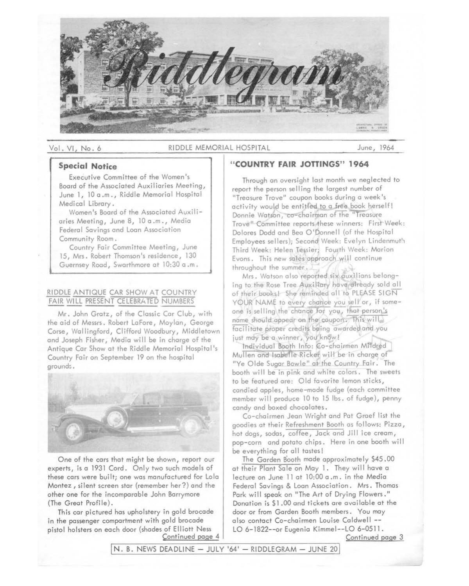

#### Vol. VI, No. 6 RIDDLE MEMORIAL HOSPITAL June, 1964

# **Special Notice**

Executive Committee of the Women's Board of the Associated Auxiliaries Meeting, June l, 10 a .m., Riddle Memorial Hospital Medical Library.

Women's Board of the Associated Auxiliaries Meeting, June 8, 10 a.m., Media Federal Savings and Loan Association Community Room.

Country Fair Committee Meeting, June 15, Mrs. Robert Thomson's residence, 130 Guernsey Road, Swarthmore at 10:30 a .m.

# RIDDLE ANTIQUE CAR SHOW AT COUNTRY<br>FAIR WILL PRESENT CELEBRATED NUMBERS

Mr. John Gratz, of the Classic Car Club, with the aid of Messrs. Robert LaFore, Moylan, George Corse, Wallingford, Clifford Woodbury, Middletown and Joseph Fisher, Media will be in charge of the Antique Car Show at the Riddle Memorial Hospital's Country Fair on September 19 on the hospital ground:;.



One of the cars that might be shown, report our experts, is a 1931 Cord. Only two such models of these cars were built; one was manufactured for Lola Montez, silent screen star (remember her?) and the other one for the incomparable John Barrymore (The Great Profile).

This car pictured has upholstery in gold brocade in the passenger compartment with gold brocade pistol holsters on each door (shades of Elliott Ness Continued page 4

# **"COUNTRY FAIR JOTTINGS" 1964**

Through an oversight last month we neglected to report the person selling the largest number of "Treasure Trove" coupon books during a week's activity would be entitled to a free book herself! Donnie Watson, co-chairman of the "Treasure Trove" Committee reports these winners: First Week: Dolores Dodd and Bea O'Donnell (of the Hospital Employees sellers); Second Week: Evelyn Lindenmuth Third Week: Helen Tessier; Fourth Week: Marion Evons. This new sales approach will continue throughout the summer.

Mrs. Watson also reported six auxilians belonging to the Rose Tree Auxillary have already sold all of their books! She reminded all to PLEASE SIGN YOUR NAME to every chance you sell or, if someone is selling the chance for you, that person's name should appear on the coupon. This will facilitate proper credits being awarded and you just may be a winner, you know!

Individual Booth Info: Co-chairmen Mildred Mullen and Isabelle Ricker will be in charge of "Ye Olde Sugar Bowle" at the Country fair. The booth will be in pink and white colors. The sweets to be featured are: Old favorite lemon sticks, candied apples, home-made fudge (each committee member will produce 10 to 15 lbs. of fudge), penny candy and boxed chocolates.

Co-chairmen Jean Wright and Pat Graef list the goodies at their Refreshment Booth as follows: Pizza, hot dogs, sodas, coffee, Jack and Jill ice cream, pop-corn and potato chips. Here in one booth will be everything for all tastes!

The Garden Booth made approximately \$45.00 at their Plant Sale on May l. They will have a lecture on June 11 at 10:00 a.m. in the Media Federal Savings & Loan Association. Mrs. Thomas Park will speak on "The Art of Drying Flowers." Donation is \$1 .00 and tickets are available at the door or from Garden Booth members. You may also contact Co-chairmen Louise Caldwell -- LO 6-1822--or Eugenia Kimmel--LO 6-0511.

Continued page 3

 $N. B. NEWS$  DEADLINE  $-$  JULY '64'  $-$  RIDDLEGRAM  $-$  JUNE 20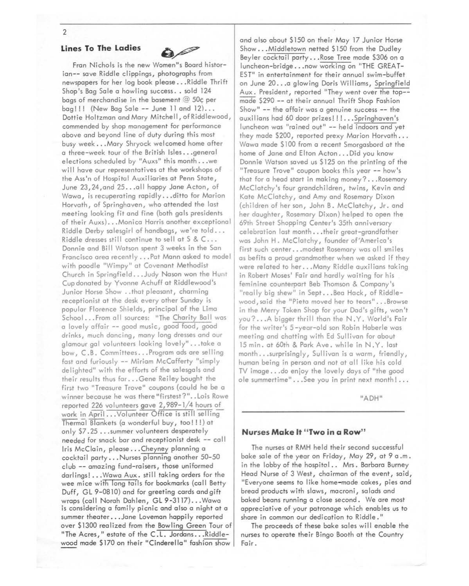#### 2

### **Lines To The Ladies**



Fran Nichols is the new Women"s Board historian-- save Riddle clippings, photographs from newspapers for her log book please ... Riddle Thrift Shop's Bag Sale a howling success .. sold 124 bags of merchandise in the basement@ 50¢ per  $bag!!$  (New Bag Sale -- June 11 and  $12)...$ Dottie Holtzman and Mary Mitchell, ofRiddlewood, commended by shop management for performance above and beyond line of duty during this most busy week ... Mary Shryock welcomed home after a three-week tour of the British Isles ... genera I elections scheduled by "Auxs" this month ... we will have our representatives at the workshops of the Ass'n of Hospital Auxiliaries at Penn State, June 23,24,and 25 ... all happy Jane Acton, of Wawa, is recuperating rapidly ... ditto for Marion Horvath, of Springhaven, who attended the last meeting looking fit and fine (both gals presidents of their Auxs) ... Monica Harris another exceptiona I Riddle Derby salesgirl of handbags, we're told .. . Riddle dresses still continue to sell at S & C .. . Donnie and Bill Watson spent 3 weeks in the San Francisco area recently ... Pat Mann asked to model with poodle "Wimpy" at Covenant Methodist Church in Springfield ... Judy Nason won the Hunt Cup donated by Yvonne Achuff at Riddlewood's Junior Horse Show .. that pleasant, charming receptionist at the desk every other Sunday is popular Florence Shields, principal of the Lima School ... From all sources: "The Charity Ball was a lovely affair -- good music, good food, good drinks, much dancing, many long dresses and our glamour gal volunteers looking lovely" ... take a bow, C.B. Committees ... Program ads are selling fast and furiously -- Miriam McCafferty "simply delighted" with the efforts of the salesgals and their results thus far ... Gene Reiley bought the first two "Treasure Trove" coupons (could he be a winner because he was there"firstest?" .. Lois Rowe reported 226 volunteers gave 2,989-1/4 hours of work in April ... Volunteer Office is still selling Thermal Blankets (a wonderful buy, too! ! ! ) at only \$7.25 ... summer volunteers desperately needed for snack bar and receptionist desk -- call Iris McClain, please... Cheyney planning a cocktail party ... Nurses planning another 50-50 club -- amazing fund-raisers, those uniformed darlings! ... Wawa Aux. still taking orders for the wee mice with long tails for bookmarks (call Betty Duff, GL 9-0810) and for greeting cards and gift wraps (call Norah Dahlen, GL 9-3117) ... Wawa is considering a family picnic and also a night at a summer theater...Jane Loveman happily reported over \$1300 realized from the Bowling Green Tour of "The Acres," estate of the C.L. Jordans...Riddlewood made \$170 on their "Cinderella" fashion show

and also about \$150 on their May 17 Junior Horse Show ... Middletown netted \$150 from the Dudley Beyler cocktail party ... Rose Tree made \$306 on a luncheon-bridge ... now working on "THE GREAT-EST" in entertainment for their annual swim-buffet on June 20 .•. a glowing Doris Williams, Springfield Aux. President, reported "They went over the top- made \$290 -- at their annual Thrift Shop Fashion Show" -- the affair was a genuine success -- the auxilians had 60 door prizes!!!...Springhaven's luncheon was "rained out" -- held indoors and yet they made \$200, reported prexy Marion Horvath... Wawa made \$100 from a recent Smorgasbord at the home of Jane and Elton Acton . . . Did you know Donnie Watson saved us \$125 on the printing of the "Treasure Trove" coupon books this year -- how's that for a head start in making money? ... Rosemary McClatchy 's four grandchildren, twins, Kevin and Kate McClatchy, and Amy and Rosemary Dixon (children of her son, John B. McClatchy, Jr. and her daughter, Rosemary Dixon) helped to open the 69th Street Shopping Center's 35th anniversary celebration last month...their great-grandfather was John H. McClatchy, founder of America's first such center... modest Rosemary was all smiles as befits a proud grandmother when we asked if they were related to her ... Many Riddle auxilians taking in Robert Moses' Fair and hardly waiting for his feminine counterpart Beb Thomson & Company's "really big shew" in Sept. .. Bea Hack, of Riddlewood,said the "Pieta moved her to tears" ... Browse in the Merry Token Shop for your Dad's gifts, won't you? ... A bigger thrill than the N.Y. World's Fair for the writer's 5-year-old son Robin Haberle was meeting and chatting with Ed Sullivan for about 15 min. at 60th & Park Ave. while in N.Y. last month ... surprisingly, Sullivan is a warm, friendly, human being in person and not at all like his cold TV image ... do en joy the lovely days of "the good ole summertime" . . . See you in print next month! . . .

"ADH"

#### **Nurses Make It "Two in a Row"**

The nurses at RMH held their second successful bake sale of the year on Friday, May 29, at 9 a .m. in the lobby of the hospital.. Mrs. Barbara Burney Head Nurse of 3 West, chairman of the event, said, "Everyone seems to like home-made cakes, pies and bread products with slaws, mocroni, salads and baked beans running a close second. We are most appreciative of your patronage which enables us to share in common our dedication to Riddle."

The proceeds of these bake sales will enable the nurses to operate their Bingo Booth at the Country Fair.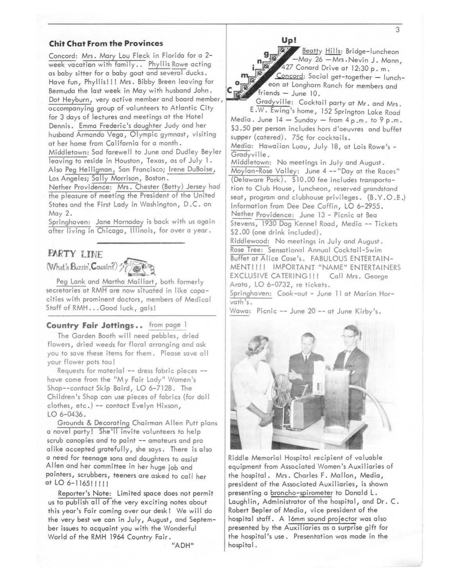#### **Chit Chat From the Provinces**

Concord: Mrs. Mary Lou Fleck in Florida for a 2 week vacation with family .. Phyllis Rowe acting as baby sitter for a baby goat and several ducks. Have fun, Phyllis!!! Mrs. Bibby Breen leaving for Bermuda the last week in May with husband John. Dot Heyburn, very active member and board member, accompanying group of volunteers to Atlantic City for 3 days of lectures and meetings at the Hotel Dennis. Emma Frederic's daughter Judy and her husband Armando Vega, Olympic gymnast, visiting at her home from California for a month. Middletown: Sad farewell to June and Dudley Beyler leaving to reside in Houston, Texas, as of July l. Also Peg Heiligman, San Francisco; Irene DuBoise, Los Angeles; Sally Morrison, Boston.

Nether Providence: Mrs. Chester (Betty) Jersey had the pleasure of meeting the President of the United States and the First Lady in Washington, D.C. on May 2.

Springhaven: Jane Hornaday is back with us again after living in Chicago, Illinois, for over a year.

# **FARTY LINE**



Peg Lank and Martha Maillart, both formerly secretaries at RMH are now situated in like capacities with prominent doctors, members of Medical Staff of RMH ... Good luck, gals!

# **Country Fair Jottings..** from page

The Garden Booth will need pebbles, dried flowers, dried weeds for floral arranging and ask you to save these items for them. Please save all your flower pots too!

Requests for material -- dress fabric pieces -have come from the "My Fair Lady" Women's Shop--contact Skip Baird, LO 6-7128. The Children's Shop can use pieces of fabrics (for doll clothes, etc.) -- contact Evelyn Hixson, LO 6-0436.

Grounds & Decorating Chairman Allen Putt plans a novel party! She'll invite volunteers to help scrub canopies and to paint -- amateurs and pro alike accepted gratefully, she says. There is also a need for teenage sons and daughters to assist Allen and her committee in her huge job and painters, scrubbers, teeners are asked to call her at LO 6-1165!!!!!

Reporter's Note: Limited space does not permit us to publish all of the very exciting notes about this year's Fair coming over our desk! We will do the very best we can in July, August, and September issues to acquaint you with the Wonderful World of the RMH 1964 Country Fair.

"ADH"

**Up!** 

Beatty Hills: Bridge-luncheon -May 26 - Mrs. Nevin J. Mann, **i** . :, ~27 Conard Drive at 12:30 p. m. Concord: Social get-together - lunch-• eon at Longhorn Ranch for members and friends - June 10.

Gradyville: Cocktail party at Mr. and Mrs. E.W. Ewing's home, 152 Springton Lake Road Media. June  $14 -$  Sunday  $-$  from  $4p.m.$  to  $9p.m.$ \$3.50 per person includes hors d'oeuvres and buffet

supper (catered). 75¢ for cocktails.

Media: Hawaiian Luau, July 18, at Lois Rowe's - Gradyville.

Middletown: No meetings in July and August. Moylan-Rose Valley: June 4 -- "Day at the Races" (Delaware Park). \$10.00 fee includes transportation to Club House, luncheon, reserved grandstand seat, program and clubhouse privileges. (B.Y.O.B.) Information from Dee Dee Coffin, LO 6-2955. Nether Providence: June 13 - Picnic at Bea Stevens, 1930 Dog Kennel Road, Media -- Tickets \$2.00 (one drink included).

Riddlewood: No meetings in July and August. Rose Tree: Sensational Annual Cocktail-Swim Buffet at Alice Case's. FABULOUS ENTERTAIN-MENT!!!! IMPORTANT "NAME" ENTERTAINERS EXCLUSIVE CATERING!!! Call Mrs. George Arata, LO 6-0732, re tickets.

Springhaven: Cook-out - June 11 at Marion Horvath 's.

Wawa: Picnic -- June 20 -- at June Kirby's.



Riddle Memorial Hospital recipient of valuable equipment from Associated Women's Auxiliaries of the hospital. Mrs. Charles F. Mallon, Media, president of the Associated Auxiliaries, is shown presenting a broncho-spirometer to Dona Id **L.**  Laughlin, Administrator of the hospital, and Dr. C. Robert Bepler of Media, vice president of the hospital staff. A 16mm sound projector was also presented by the Auxiliaries as a surprise gift for the hospital's use. Presentation was made in the hospital.

3